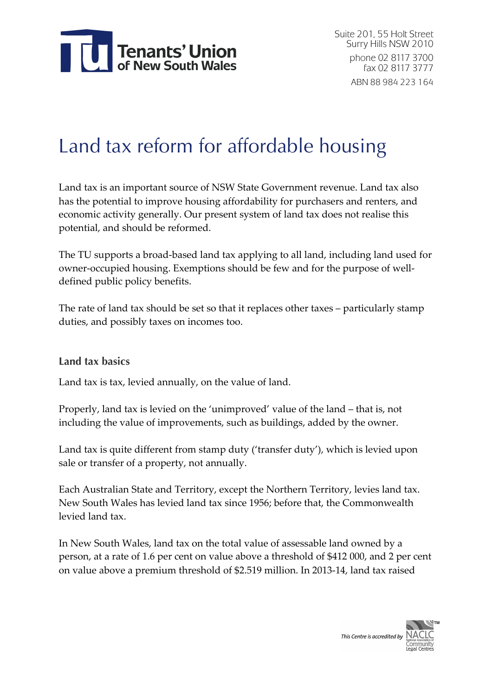

# Land tax reform for affordable housing

Land tax is an important source of NSW State Government revenue. Land tax also has the potential to improve housing affordability for purchasers and renters, and economic activity generally. Our present system of land tax does not realise this potential, and should be reformed.

The TU supports a broad-based land tax applying to all land, including land used for owner-occupied housing. Exemptions should be few and for the purpose of welldefined public policy benefits.

The rate of land tax should be set so that it replaces other taxes – particularly stamp duties, and possibly taxes on incomes too.

#### **Land tax basics**

Land tax is tax, levied annually, on the value of land.

Properly, land tax is levied on the 'unimproved' value of the land – that is, not including the value of improvements, such as buildings, added by the owner.

Land tax is quite different from stamp duty ('transfer duty'), which is levied upon sale or transfer of a property, not annually.

Each Australian State and Territory, except the Northern Territory, levies land tax. New South Wales has levied land tax since 1956; before that, the Commonwealth levied land tax.

In New South Wales, land tax on the total value of assessable land owned by a person, at a rate of 1.6 per cent on value above a threshold of \$412 000, and 2 per cent on value above a premium threshold of \$2.519 million. In 2013-14, land tax raised

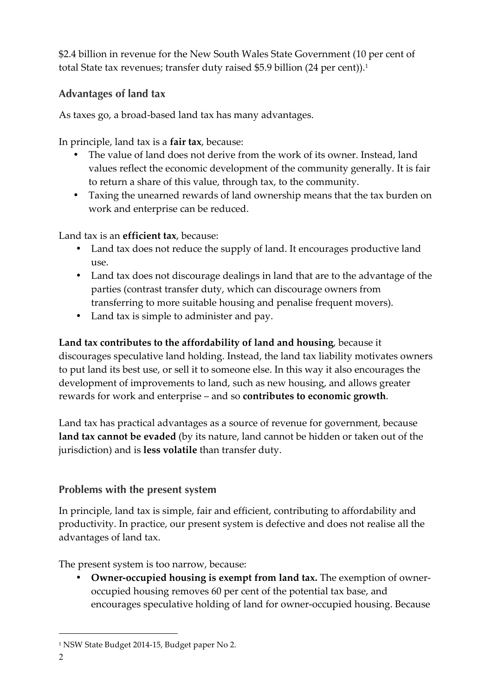\$2.4 billion in revenue for the New South Wales State Government (10 per cent of total State tax revenues; transfer duty raised \$5.9 billion (24 per cent)). 1

#### **Advantages of land tax**

As taxes go, a broad-based land tax has many advantages.

In principle, land tax is a **fair tax**, because:

- The value of land does not derive from the work of its owner. Instead, land values reflect the economic development of the community generally. It is fair to return a share of this value, through tax, to the community.
- Taxing the unearned rewards of land ownership means that the tax burden on work and enterprise can be reduced.

Land tax is an **efficient tax**, because:

- Land tax does not reduce the supply of land. It encourages productive land use.
- Land tax does not discourage dealings in land that are to the advantage of the parties (contrast transfer duty, which can discourage owners from transferring to more suitable housing and penalise frequent movers).
- Land tax is simple to administer and pay.

**Land tax contributes to the affordability of land and housing**, because it discourages speculative land holding. Instead, the land tax liability motivates owners to put land its best use, or sell it to someone else. In this way it also encourages the development of improvements to land, such as new housing, and allows greater rewards for work and enterprise – and so **contributes to economic growth**.

Land tax has practical advantages as a source of revenue for government, because **land tax cannot be evaded** (by its nature, land cannot be hidden or taken out of the jurisdiction) and is **less volatile** than transfer duty.

### **Problems with the present system**

In principle, land tax is simple, fair and efficient, contributing to affordability and productivity. In practice, our present system is defective and does not realise all the advantages of land tax.

The present system is too narrow, because:

• **Owner-occupied housing is exempt from land tax.** The exemption of owneroccupied housing removes 60 per cent of the potential tax base, and encourages speculative holding of land for owner-occupied housing. Because

 <sup>1</sup> NSW State Budget 2014-15, Budget paper No 2.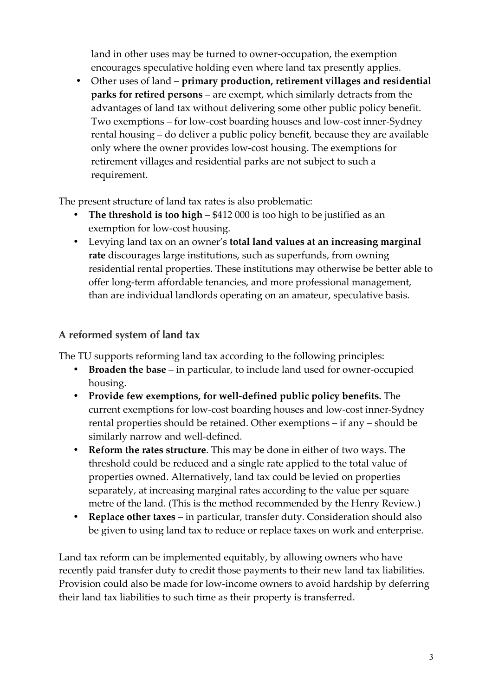land in other uses may be turned to owner-occupation, the exemption encourages speculative holding even where land tax presently applies.

• Other uses of land – **primary production, retirement villages and residential parks for retired persons** – are exempt, which similarly detracts from the advantages of land tax without delivering some other public policy benefit. Two exemptions – for low-cost boarding houses and low-cost inner-Sydney rental housing – do deliver a public policy benefit, because they are available only where the owner provides low-cost housing. The exemptions for retirement villages and residential parks are not subject to such a requirement.

The present structure of land tax rates is also problematic:

- **The threshold is too high \$412 000** is too high to be justified as an exemption for low-cost housing.
- Levying land tax on an owner's **total land values at an increasing marginal rate** discourages large institutions, such as superfunds, from owning residential rental properties. These institutions may otherwise be better able to offer long-term affordable tenancies, and more professional management, than are individual landlords operating on an amateur, speculative basis.

# **A reformed system of land tax**

The TU supports reforming land tax according to the following principles:

- **Broaden the base** in particular, to include land used for owner-occupied housing.
- **Provide few exemptions, for well-defined public policy benefits.** The current exemptions for low-cost boarding houses and low-cost inner-Sydney rental properties should be retained. Other exemptions – if any – should be similarly narrow and well-defined.
- **Reform the rates structure**. This may be done in either of two ways. The threshold could be reduced and a single rate applied to the total value of properties owned. Alternatively, land tax could be levied on properties separately, at increasing marginal rates according to the value per square metre of the land. (This is the method recommended by the Henry Review.)
- **Replace other taxes** in particular, transfer duty. Consideration should also be given to using land tax to reduce or replace taxes on work and enterprise.

Land tax reform can be implemented equitably, by allowing owners who have recently paid transfer duty to credit those payments to their new land tax liabilities. Provision could also be made for low-income owners to avoid hardship by deferring their land tax liabilities to such time as their property is transferred.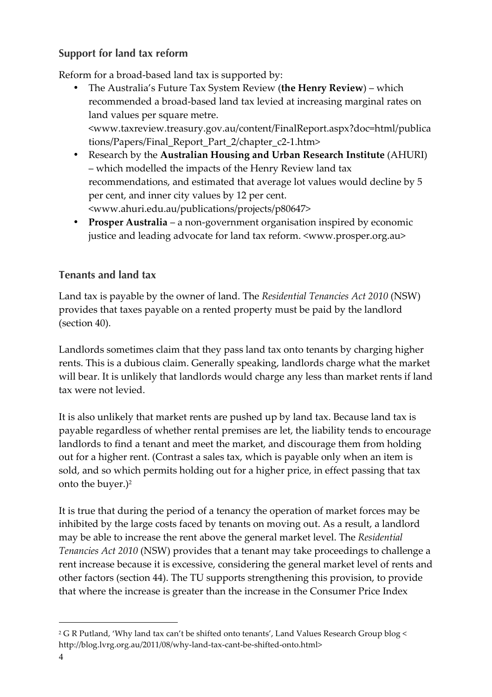### **Support for land tax reform**

Reform for a broad-based land tax is supported by:

- The Australia's Future Tax System Review (**the Henry Review**) which recommended a broad-based land tax levied at increasing marginal rates on land values per square metre. <www.taxreview.treasury.gov.au/content/FinalReport.aspx?doc=html/publica tions/Papers/Final\_Report\_Part\_2/chapter\_c2-1.htm>
- Research by the **Australian Housing and Urban Research Institute** (AHURI) – which modelled the impacts of the Henry Review land tax recommendations, and estimated that average lot values would decline by 5 per cent, and inner city values by 12 per cent. <www.ahuri.edu.au/publications/projects/p80647>
- **Prosper Australia** a non-government organisation inspired by economic justice and leading advocate for land tax reform. <www.prosper.org.au>

# **Tenants and land tax**

Land tax is payable by the owner of land. The *Residential Tenancies Act 2010* (NSW) provides that taxes payable on a rented property must be paid by the landlord (section 40).

Landlords sometimes claim that they pass land tax onto tenants by charging higher rents. This is a dubious claim. Generally speaking, landlords charge what the market will bear. It is unlikely that landlords would charge any less than market rents if land tax were not levied.

It is also unlikely that market rents are pushed up by land tax. Because land tax is payable regardless of whether rental premises are let, the liability tends to encourage landlords to find a tenant and meet the market, and discourage them from holding out for a higher rent. (Contrast a sales tax, which is payable only when an item is sold, and so which permits holding out for a higher price, in effect passing that tax onto the buyer.)<sup>2</sup>

It is true that during the period of a tenancy the operation of market forces may be inhibited by the large costs faced by tenants on moving out. As a result, a landlord may be able to increase the rent above the general market level. The *Residential Tenancies Act 2010* (NSW) provides that a tenant may take proceedings to challenge a rent increase because it is excessive, considering the general market level of rents and other factors (section 44). The TU supports strengthening this provision, to provide that where the increase is greater than the increase in the Consumer Price Index

 <sup>2</sup> G R Putland, 'Why land tax can't be shifted onto tenants', Land Values Research Group blog < http://blog.lvrg.org.au/2011/08/why-land-tax-cant-be-shifted-onto.html>